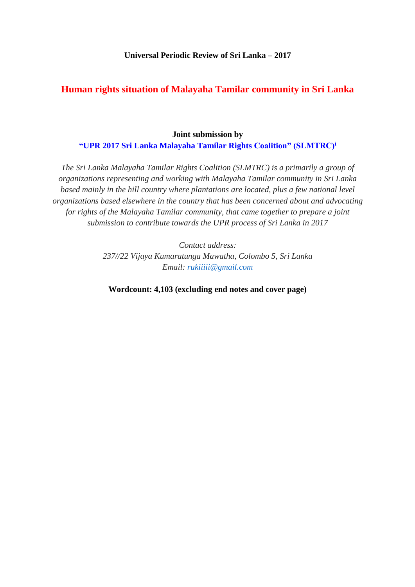#### **Universal Periodic Review of Sri Lanka – 2017**

# **Human rights situation of Malayaha Tamilar community in Sri Lanka**

### **Joint submission by "UPR 2017 Sri Lanka Malayaha Tamilar Rights Coalition" (SLMTRC)<sup>i</sup>**

*The Sri Lanka Malayaha Tamilar Rights Coalition (SLMTRC) is a primarily a group of organizations representing and working with Malayaha Tamilar community in Sri Lanka based mainly in the hill country where plantations are located, plus a few national level organizations based elsewhere in the country that has been concerned about and advocating for rights of the Malayaha Tamilar community, that came together to prepare a joint submission to contribute towards the UPR process of Sri Lanka in 2017*

> *Contact address: 237//22 Vijaya Kumaratunga Mawatha, Colombo 5, Sri Lanka Email: [rukiiiii@gmail.com](mailto:rukiiiii@gmail.com)*

**Wordcount: 4,103 (excluding end notes and cover page)**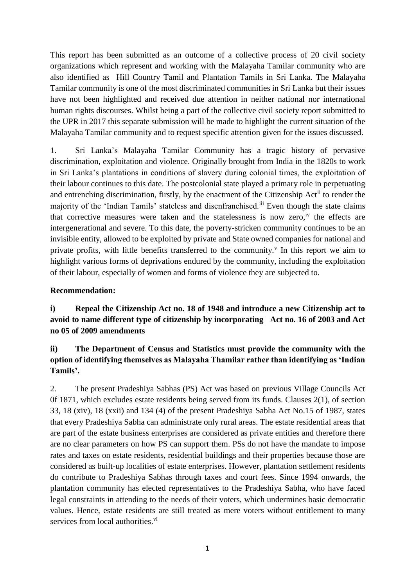This report has been submitted as an outcome of a collective process of 20 civil society organizations which represent and working with the Malayaha Tamilar community who are also identified as Hill Country Tamil and Plantation Tamils in Sri Lanka. The Malayaha Tamilar community is one of the most discriminated communities in Sri Lanka but their issues have not been highlighted and received due attention in neither national nor international human rights discourses. Whilst being a part of the collective civil society report submitted to the UPR in 2017 this separate submission will be made to highlight the current situation of the Malayaha Tamilar community and to request specific attention given for the issues discussed.

1. Sri Lanka's Malayaha Tamilar Community has a tragic history of pervasive discrimination, exploitation and violence. Originally brought from India in the 1820s to work in Sri Lanka's plantations in conditions of slavery during colonial times, the exploitation of their labour continues to this date. The postcolonial state played a primary role in perpetuating and entrenching discrimination, firstly, by the enactment of the Citizenship Act<sup>ii</sup> to render the majority of the 'Indian Tamils' stateless and disenfranchised.<sup>iii</sup> Even though the state claims that corrective measures were taken and the statelessness is now zero,<sup>iv</sup> the effects are intergenerational and severe. To this date, the poverty-stricken community continues to be an invisible entity, allowed to be exploited by private and State owned companies for national and private profits, with little benefits transferred to the community.<sup> $v$ </sup> In this report we aim to highlight various forms of deprivations endured by the community, including the exploitation of their labour, especially of women and forms of violence they are subjected to.

### **Recommendation:**

**i) Repeal the Citizenship Act no. 18 of 1948 and introduce a new Citizenship act to avoid to name different type of citizenship by incorporating Act no. 16 of 2003 and Act no 05 of 2009 amendments**

# **ii) The Department of Census and Statistics must provide the community with the option of identifying themselves as Malayaha Thamilar rather than identifying as 'Indian Tamils'.**

2. The present Pradeshiya Sabhas (PS) Act was based on previous Village Councils Act 0f 1871, which excludes estate residents being served from its funds. Clauses 2(1), of section 33, 18 (xiv), 18 (xxii) and 134 (4) of the present Pradeshiya Sabha Act No.15 of 1987, states that every Pradeshiya Sabha can administrate only rural areas. The estate residential areas that are part of the estate business enterprises are considered as private entities and therefore there are no clear parameters on how PS can support them. PSs do not have the mandate to impose rates and taxes on estate residents, residential buildings and their properties because those are considered as built-up localities of estate enterprises. However, plantation settlement residents do contribute to Pradeshiya Sabhas through taxes and court fees. Since 1994 onwards, the plantation community has elected representatives to the Pradeshiya Sabha, who have faced legal constraints in attending to the needs of their voters, which undermines basic democratic values. Hence, estate residents are still treated as mere voters without entitlement to many services from local authorities.<sup>vi</sup>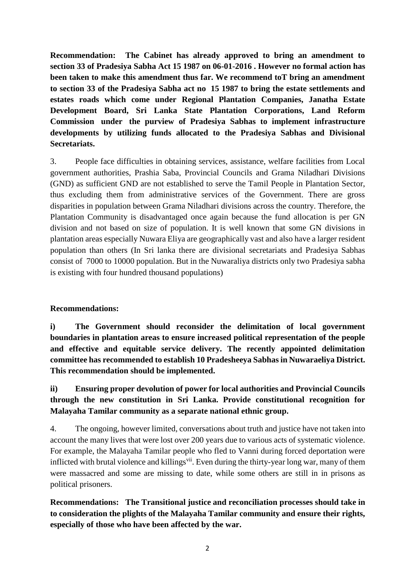**Recommendation: The Cabinet has already approved to bring an amendment to section 33 of Pradesiya Sabha Act 15 1987 on 06-01-2016 . However no formal action has been taken to make this amendment thus far. We recommend toT bring an amendment to section 33 of the Pradesiya Sabha act no 15 1987 to bring the estate settlements and estates roads which come under Regional Plantation Companies, Janatha Estate Development Board, Sri Lanka State Plantation Corporations, Land Reform Commission under the purview of Pradesiya Sabhas to implement infrastructure developments by utilizing funds allocated to the Pradesiya Sabhas and Divisional Secretariats.**

3. People face difficulties in obtaining services, assistance, welfare facilities from Local government authorities, Prashia Saba, Provincial Councils and Grama Niladhari Divisions (GND) as sufficient GND are not established to serve the Tamil People in Plantation Sector, thus excluding them from administrative services of the Government. There are gross disparities in population between Grama Niladhari divisions across the country. Therefore, the Plantation Community is disadvantaged once again because the fund allocation is per GN division and not based on size of population. It is well known that some GN divisions in plantation areas especially Nuwara Eliya are geographically vast and also have a larger resident population than others (In Sri lanka there are divisional secretariats and Pradesiya Sabhas consist of 7000 to 10000 population. But in the Nuwaraliya districts only two Pradesiya sabha is existing with four hundred thousand populations)

## **Recommendations:**

**i) The Government should reconsider the delimitation of local government boundaries in plantation areas to ensure increased political representation of the people and effective and equitable service delivery. The recently appointed delimitation committee has recommended to establish 10 Pradesheeya Sabhas in Nuwaraeliya District. This recommendation should be implemented.** 

# **ii) Ensuring proper devolution of power for local authorities and Provincial Councils through the new constitution in Sri Lanka. Provide constitutional recognition for Malayaha Tamilar community as a separate national ethnic group.**

4. The ongoing, however limited, conversations about truth and justice have not taken into account the many lives that were lost over 200 years due to various acts of systematic violence. For example, the Malayaha Tamilar people who fled to Vanni during forced deportation were inflicted with brutal violence and killings<sup>vii</sup>. Even during the thirty-year long war, many of them were massacred and some are missing to date, while some others are still in in prisons as political prisoners.

**Recommendations: The Transitional justice and reconciliation processes should take in to consideration the plights of the Malayaha Tamilar community and ensure their rights, especially of those who have been affected by the war.**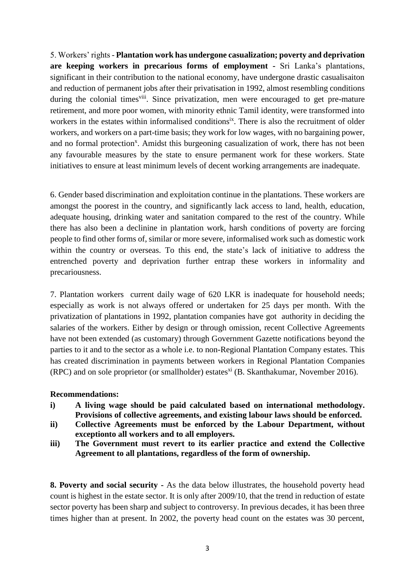5. Workers' rights - **Plantation work has undergone casualization; poverty and deprivation are keeping workers in precarious forms of employment -** Sri Lanka's plantations, significant in their contribution to the national economy, have undergone drastic casualisaiton and reduction of permanent jobs after their privatisation in 1992, almost resembling conditions during the colonial times<sup>viii</sup>. Since privatization, men were encouraged to get pre-mature retirement, and more poor women, with minority ethnic Tamil identity, were transformed into workers in the estates within informalised conditions<sup>ix</sup>. There is also the recruitment of older workers, and workers on a part-time basis; they work for low wages, with no bargaining power, and no formal protection<sup>x</sup>. Amidst this burgeoning casualization of work, there has not been any favourable measures by the state to ensure permanent work for these workers. State initiatives to ensure at least minimum levels of decent working arrangements are inadequate.

6. Gender based discrimination and exploitation continue in the plantations. These workers are amongst the poorest in the country, and significantly lack access to land, health, education, adequate housing, drinking water and sanitation compared to the rest of the country. While there has also been a declinine in plantation work, harsh conditions of poverty are forcing people to find other forms of, similar or more severe, informalised work such as domestic work within the country or overseas. To this end, the state's lack of initiative to address the entrenched poverty and deprivation further entrap these workers in informality and precariousness.

7. Plantation workers current daily wage of 620 LKR is inadequate for household needs; especially as work is not always offered or undertaken for 25 days per month. With the privatization of plantations in 1992, plantation companies have got authority in deciding the salaries of the workers. Either by design or through omission, recent Collective Agreements have not been extended (as customary) through Government Gazette notifications beyond the parties to it and to the sector as a whole i.e. to non-Regional Plantation Company estates. This has created discrimination in payments between workers in Regional Plantation Companies  $(RPC)$  and on sole proprietor (or smallholder) estates<sup>xi</sup> (B. Skanthakumar, November 2016).

#### **Recommendations:**

- **i) A living wage should be paid calculated based on international methodology. Provisions of collective agreements, and existing labour laws should be enforced.**
- **ii) Collective Agreements must be enforced by the Labour Department, without exceptionto all workers and to all employers.**
- **iii) The Government must revert to its earlier practice and extend the Collective Agreement to all plantations, regardless of the form of ownership.**

**8. Poverty and social security -** As the data below illustrates, the household poverty head count is highest in the estate sector. It is only after 2009/10, that the trend in reduction of estate sector poverty has been sharp and subject to controversy. In previous decades, it has been three times higher than at present. In 2002, the poverty head count on the estates was 30 percent,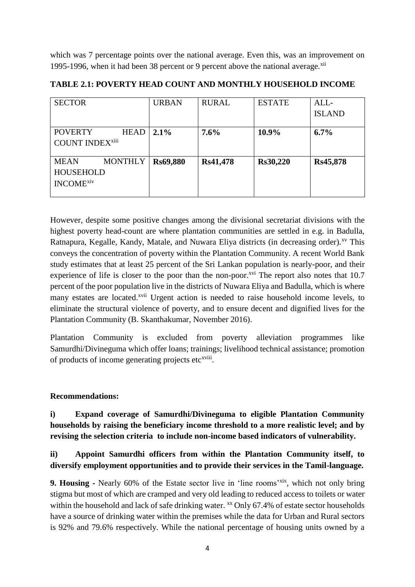which was 7 percentage points over the national average. Even this, was an improvement on 1995-1996, when it had been 38 percent or 9 percent above the national average. $^{xii}$ 

| <b>SECTOR</b>                 | <b>URBAN</b> | <b>RURAL</b> | <b>ESTATE</b> | ALL-          |
|-------------------------------|--------------|--------------|---------------|---------------|
|                               |              |              |               | <b>ISLAND</b> |
|                               |              |              |               |               |
| <b>HEAD</b><br><b>POVERTY</b> | 2.1%         | 7.6%         | 10.9%         | 6.7%          |
| <b>COUNT INDEXxiii</b>        |              |              |               |               |
|                               |              |              |               |               |
| <b>MONTHLY</b><br><b>MEAN</b> | Rs69,880     | Rs41,478     | Rs30,220      | Rs45,878      |
| <b>HOUSEHOLD</b>              |              |              |               |               |
| <b>INCOME</b> xiv             |              |              |               |               |
|                               |              |              |               |               |

**TABLE 2.1: POVERTY HEAD COUNT AND MONTHLY HOUSEHOLD INCOME**

However, despite some positive changes among the divisional secretariat divisions with the highest poverty head-count are where plantation communities are settled in e.g. in Badulla, Ratnapura, Kegalle, Kandy, Matale, and Nuwara Eliya districts (in decreasing order).<sup>xv</sup> This conveys the concentration of poverty within the Plantation Community. A recent World Bank study estimates that at least 25 percent of the Sri Lankan population is nearly-poor, and their experience of life is closer to the poor than the non-poor.<sup> $xvi$ </sup> The report also notes that 10.7 percent of the poor population live in the districts of Nuwara Eliya and Badulla, which is where many estates are located.<sup>xvii</sup> Urgent action is needed to raise household income levels, to eliminate the structural violence of poverty, and to ensure decent and dignified lives for the Plantation Community (B. Skanthakumar, November 2016).

Plantation Community is excluded from poverty alleviation programmes like Samurdhi/Divineguma which offer loans; trainings; livelihood technical assistance; promotion of products of income generating projects etc<sup>xviii</sup>.

## **Recommendations:**

**i) Expand coverage of Samurdhi/Divineguma to eligible Plantation Community households by raising the beneficiary income threshold to a more realistic level; and by revising the selection criteria to include non-income based indicators of vulnerability.**

# **ii) Appoint Samurdhi officers from within the Plantation Community itself, to diversify employment opportunities and to provide their services in the Tamil-language.**

**9. Housing -** Nearly 60% of the Estate sector live in 'line rooms'<sup>xix</sup>, which not only bring stigma but most of which are cramped and very old leading to reduced access to toilets or water within the household and lack of safe drinking water. xx Only 67.4% of estate sector households have a source of drinking water within the premises while the data for Urban and Rural sectors is 92% and 79.6% respectively. While the national percentage of housing units owned by a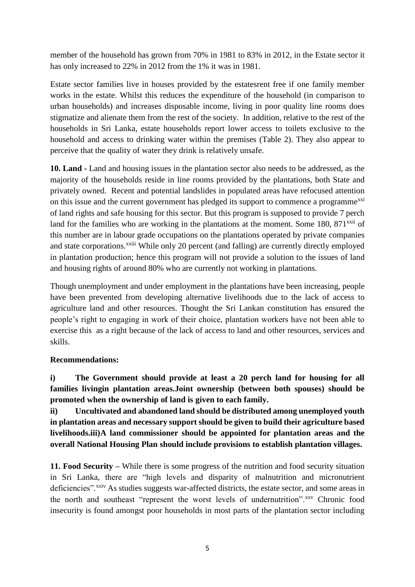member of the household has grown from 70% in 1981 to 83% in 2012, in the Estate sector it has only increased to 22% in 2012 from the 1% it was in 1981.

Estate sector families live in houses provided by the estatesrent free if one family member works in the estate. Whilst this reduces the expenditure of the household (in comparison to urban households) and increases disposable income, living in poor quality line rooms does stigmatize and alienate them from the rest of the society. In addition, relative to the rest of the households in Sri Lanka, estate households report lower access to toilets exclusive to the household and access to drinking water within the premises (Table 2). They also appear to perceive that the quality of water they drink is relatively unsafe.

**10. Land -** Land and housing issues in the plantation sector also needs to be addressed, as the majority of the households reside in line rooms provided by the plantations, both State and privately owned. Recent and potential landslides in populated areas have refocused attention on this issue and the current government has pledged its support to commence a programme<sup>xxi</sup> of land rights and safe housing for this sector. But this program is supposed to provide 7 perch land for the families who are working in the plantations at the moment. Some  $180$ ,  $871^{x}$  of this number are in labour grade occupations on the plantations operated by private companies and state corporations.<sup>xxiii</sup> While only 20 percent (and falling) are currently directly employed in plantation production; hence this program will not provide a solution to the issues of land and housing rights of around 80% who are currently not working in plantations.

Though unemployment and under employment in the plantations have been increasing, people have been prevented from developing alternative livelihoods due to the lack of access to agriculture land and other resources. Thought the Sri Lankan constitution has ensured the people's right to engaging in work of their choice, plantation workers have not been able to exercise this as a right because of the lack of access to land and other resources, services and skills.

## **Recommendations:**

**i) The Government should provide at least a 20 perch land for housing for all families livingin plantation areas.Joint ownership (between both spouses) should be promoted when the ownership of land is given to each family.**

**ii) Uncultivated and abandoned land should be distributed among unemployed youth in plantation areas and necessary support should be given to build their agriculture based livelihoods.iii)A land commissioner should be appointed for plantation areas and the overall National Housing Plan should include provisions to establish plantation villages.**

**11. Food Security –** While there is some progress of the nutrition and food security situation in Sri Lanka, there are "high levels and disparity of malnutrition and micronutrient deficiencies".<sup>xxiv</sup> As studies suggests war-affected districts, the estate sector, and some areas in the north and southeast "represent the worst levels of undernutrition".xxv Chronic food insecurity is found amongst poor households in most parts of the plantation sector including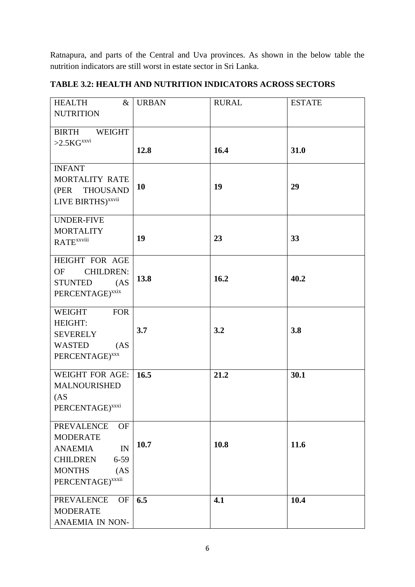Ratnapura, and parts of the Central and Uva provinces. As shown in the below table the nutrition indicators are still worst in estate sector in Sri Lanka.

| <b>HEALTH</b><br>$\&$                                                    | <b>URBAN</b> | <b>RURAL</b> | <b>ESTATE</b> |
|--------------------------------------------------------------------------|--------------|--------------|---------------|
| <b>NUTRITION</b>                                                         |              |              |               |
|                                                                          |              |              |               |
| <b>BIRTH</b><br><b>WEIGHT</b>                                            |              |              |               |
| $>2.5\mathrm{KG}^{\mathrm{x}x\mathrm{vi}}$                               | 12.8         | 16.4         | 31.0          |
|                                                                          |              |              |               |
| <b>INFANT</b>                                                            |              |              |               |
| MORTALITY RATE                                                           |              |              |               |
| (PER THOUSAND                                                            | 10           | 19           | 29            |
| LIVE BIRTHS) <sup>xxvii</sup>                                            |              |              |               |
|                                                                          |              |              |               |
| <b>UNDER-FIVE</b>                                                        |              |              |               |
| <b>MORTALITY</b>                                                         | 19           | 23           | 33            |
| <b>RATE</b> xxviii                                                       |              |              |               |
| HEIGHT FOR AGE                                                           |              |              |               |
| <b>CHILDREN:</b><br>OF                                                   |              |              |               |
| (AS)                                                                     | 13.8         | 16.2         | 40.2          |
| STUNTED                                                                  |              |              |               |
| $PERCENTAGE)^{\boldsymbol{x}\boldsymbol{x}\boldsymbol{i}\boldsymbol{x}}$ |              |              |               |
| WEIGHT<br><b>FOR</b>                                                     |              |              |               |
| HEIGHT:                                                                  |              |              |               |
| <b>SEVERELY</b>                                                          | 3.7          | 3.2          | 3.8           |
| WASTED<br>(AS <sup>2</sup> )                                             |              |              |               |
| PERCENTAGE) <sup>xxx</sup>                                               |              |              |               |
|                                                                          |              |              |               |
| <b>WEIGHT FOR AGE:</b>                                                   | 16.5         | 21.2         | 30.1          |
| <b>MALNOURISHED</b>                                                      |              |              |               |
| (AS <sup>2</sup> )                                                       |              |              |               |
| PERCENTAGE) <sup>xxxi</sup>                                              |              |              |               |
| <b>PREVALENCE</b><br><b>OF</b>                                           |              |              |               |
| <b>MODERATE</b>                                                          |              |              |               |
| <b>ANAEMIA</b><br>IN                                                     | 10.7         | 10.8         | 11.6          |
| <b>CHILDREN</b><br>$6 - 59$                                              |              |              |               |
| <b>MONTHS</b><br>(AS <sup>2</sup> )                                      |              |              |               |
| PERCENTAGE) <sup>xxxii</sup>                                             |              |              |               |
|                                                                          |              |              |               |
| <b>PREVALENCE</b><br><b>OF</b>                                           | 6.5          | 4.1          | 10.4          |
| <b>MODERATE</b>                                                          |              |              |               |
| ANAEMIA IN NON-                                                          |              |              |               |

**TABLE 3.2: HEALTH AND NUTRITION INDICATORS ACROSS SECTORS**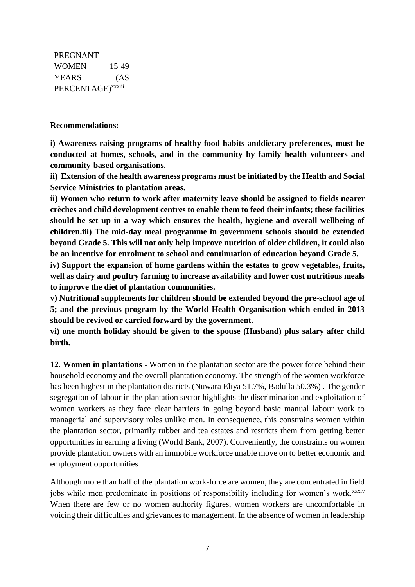| PREGNANT                                  |  |  |
|-------------------------------------------|--|--|
| <b>WOMEN</b><br>15-49                     |  |  |
| <b>YEARS</b><br>`AS                       |  |  |
| $\cdots$<br>PERCENTAGE) <sup>xxxiii</sup> |  |  |
|                                           |  |  |

**Recommendations:**

**i) Awareness-raising programs of healthy food habits anddietary preferences, must be conducted at homes, schools, and in the community by family health volunteers and community-based organisations.**

**ii) Extension of the health awareness programs must be initiated by the Health and Social Service Ministries to plantation areas.**

**ii) Women who return to work after maternity leave should be assigned to fields nearer crèches and child development centres to enable them to feed their infants; these facilities should be set up in a way which ensures the health, hygiene and overall wellbeing of children.iii) The mid-day meal programme in government schools should be extended beyond Grade 5. This will not only help improve nutrition of older children, it could also be an incentive for enrolment to school and continuation of education beyond Grade 5.**

**iv) Support the expansion of home gardens within the estates to grow vegetables, fruits, well as dairy and poultry farming to increase availability and lower cost nutritious meals to improve the diet of plantation communities.** 

**v) Nutritional supplements for children should be extended beyond the pre-school age of 5; and the previous program by the World Health Organisation which ended in 2013 should be revived or carried forward by the government.**

**vi) one month holiday should be given to the spouse (Husband) plus salary after child birth.**

**12. Women in plantations -** Women in the plantation sector are the power force behind their household economy and the overall plantation economy. The strength of the women workforce has been highest in the plantation districts (Nuwara Eliya 51.7%, Badulla 50.3%) . The gender segregation of labour in the plantation sector highlights the discrimination and exploitation of women workers as they face clear barriers in going beyond basic manual labour work to managerial and supervisory roles unlike men. In consequence, this constrains women within the plantation sector, primarily rubber and tea estates and restricts them from getting better opportunities in earning a living (World Bank, 2007). Conveniently, the constraints on women provide plantation owners with an immobile workforce unable move on to better economic and employment opportunities

Although more than half of the plantation work-force are women, they are concentrated in field jobs while men predominate in positions of responsibility including for women's work.<sup>xxxiv</sup> When there are few or no women authority figures, women workers are uncomfortable in voicing their difficulties and grievances to management. In the absence of women in leadership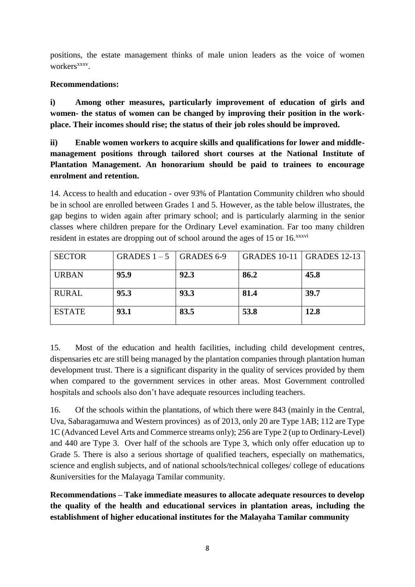positions, the estate management thinks of male union leaders as the voice of women workers<sup>xxxv</sup>.

### **Recommendations:**

**i) Among other measures, particularly improvement of education of girls and women- the status of women can be changed by improving their position in the workplace. Their incomes should rise; the status of their job roles should be improved.** 

**ii) Enable women workers to acquire skills and qualifications for lower and middlemanagement positions through tailored short courses at the National Institute of Plantation Management. An honorarium should be paid to trainees to encourage enrolment and retention.**

14. Access to health and education - over 93% of Plantation Community children who should be in school are enrolled between Grades 1 and 5. However, as the table below illustrates, the gap begins to widen again after primary school; and is particularly alarming in the senior classes where children prepare for the Ordinary Level examination. Far too many children resident in estates are dropping out of school around the ages of 15 or 16.<sup>xxxvi</sup>

| <b>SECTOR</b> | GRADES $1-5$   GRADES 6-9 |      | <b>GRADES 10-11   GRADES 12-13</b> |      |
|---------------|---------------------------|------|------------------------------------|------|
| <b>URBAN</b>  | 95.9                      | 92.3 | 86.2                               | 45.8 |
| <b>RURAL</b>  | 95.3                      | 93.3 | 81.4                               | 39.7 |
| <b>ESTATE</b> | 93.1                      | 83.5 | 53.8                               | 12.8 |

15. Most of the education and health facilities, including child development centres, dispensaries etc are still being managed by the plantation companies through plantation human development trust. There is a significant disparity in the quality of services provided by them when compared to the government services in other areas. Most Government controlled hospitals and schools also don't have adequate resources including teachers.

16. Of the schools within the plantations, of which there were 843 (mainly in the Central, Uva, Sabaragamuwa and Western provinces) as of 2013, only 20 are Type 1AB; 112 are Type 1C (Advanced Level Arts and Commerce streams only); 256 are Type 2 (up to Ordinary-Level) and 440 are Type 3. Over half of the schools are Type 3, which only offer education up to Grade 5. There is also a serious shortage of qualified teachers, especially on mathematics, science and english subjects, and of national schools/technical colleges/ college of educations &universities for the Malayaga Tamilar community.

**Recommendations – Take immediate measures to allocate adequate resources to develop the quality of the health and educational services in plantation areas, including the establishment of higher educational institutes for the Malayaha Tamilar community**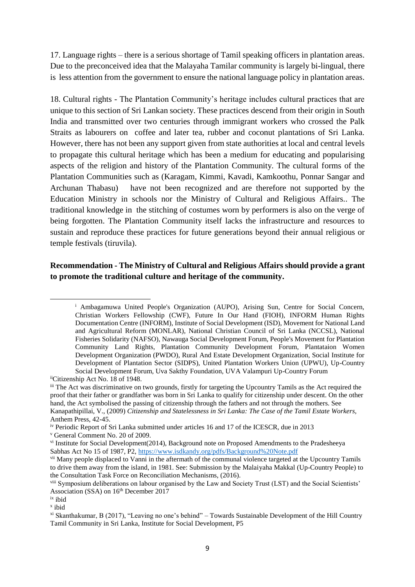17. Language rights – there is a serious shortage of Tamil speaking officers in plantation areas. Due to the preconceived idea that the Malayaha Tamilar community is largely bi-lingual, there is less attention from the government to ensure the national language policy in plantation areas.

18. Cultural rights - The Plantation Community's heritage includes cultural practices that are unique to this section of Sri Lankan society. These practices descend from their origin in South India and transmitted over two centuries through immigrant workers who crossed the Palk Straits as labourers on coffee and later tea, rubber and coconut plantations of Sri Lanka. However, there has not been any support given from state authorities at local and central levels to propagate this cultural heritage which has been a medium for educating and popularising aspects of the religion and history of the Plantation Community. The cultural forms of the Plantation Communities such as (Karagam, Kimmi, Kavadi, Kamkoothu, Ponnar Sangar and Archunan Thabasu) have not been recognized and are therefore not supported by the Education Ministry in schools nor the Ministry of Cultural and Religious Affairs.. The traditional knowledge in the stitching of costumes worn by performers is also on the verge of being forgotten. The Plantation Community itself lacks the infrastructure and resources to sustain and reproduce these practices for future generations beyond their annual religious or temple festivals (tiruvila).

### **Recommendation - The Ministry of Cultural and Religious Affairs should provide a grant to promote the traditional culture and heritage of the community.**

**.** 

<sup>&</sup>lt;sup>i</sup> Ambagamuwa United People's Organization (AUPO), Arising Sun, Centre for Social Concern, Christian Workers Fellowship (CWF), Future In Our Hand (FIOH), INFORM Human Rights Documentation Centre (INFORM), Institute of Social Development (ISD), Movement for National Land and Agricultural Reform (MONLAR), National Christian Council of Sri Lanka (NCCSL), National Fisheries Solidarity (NAFSO), Nawauga Social Development Forum, People's Movement for Plantation Community Land Rights, Plantation Community Development Forum, Plantataion Women Development Organization (PWDO), Rural And Estate Development Organization, Social Institute for Development of Plantation Sector (SIDPS), United Plantation Workers Union (UPWU), Up-Country Social Development Forum, Uva Sakthy Foundation, UVA Valampuri Up-Country Forum

iiCitizenship Act No. 18 of 1948.

iii The Act was discriminative on two grounds, firstly for targeting the Upcountry Tamils as the Act required the proof that their father or grandfather was born in Sri Lanka to qualify for citizenship under descent. On the other hand, the Act symbolised the passing of citizenship through the fathers and not through the mothers. See Kanapathipillai, V., (2009) *Citizenship and Statelessness in Sri Lanka: The Case of the Tamil Estate Workers,*  Anthem Press, 42-45.

iv Periodic Report of Sri Lanka submitted under articles 16 and 17 of the ICESCR, due in 2013

<sup>v</sup> General Comment No. 20 of 2009.

vi Institute for Social Development(2014), Background note on Proposed Amendments to the Pradesheeya Sabhas Act No 15 of 1987, P2,<https://www.isdkandy.org/pdfs/Background%20Note.pdf>

<sup>&</sup>lt;sup>vii</sup> Many people displaced to Vanni in the aftermath of the communal violence targeted at the Upcountry Tamils to drive them away from the island, in 1981. See: Submission by the Malaiyaha Makkal (Up-Country People) to the Consultation Task Force on Reconciliation Mechanisms, (2016).

viii Symposium deliberations on labour organised by the Law and Society Trust (LST) and the Social Scientists' Association (SSA) on 16<sup>th</sup> December 2017

ix ibid

x ibid

xi Skanthakumar, B (2017), "Leaving no one's behind" – Towards Sustainable Development of the Hill Country Tamil Community in Sri Lanka, Institute for Social Development, P5